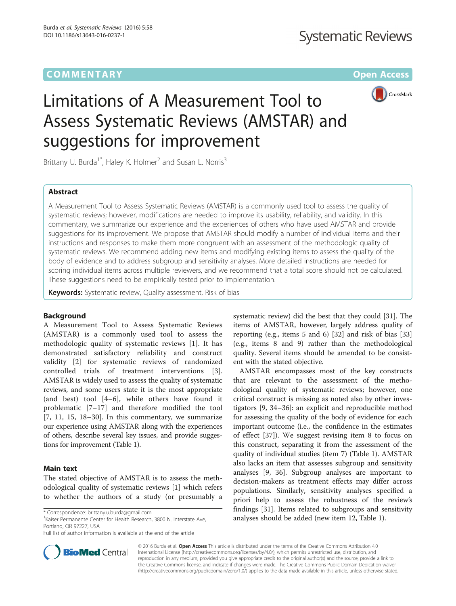# **COMMENTARY** COMMENTARY **COMMENTARY**



# Limitations of A Measurement Tool to Assess Systematic Reviews (AMSTAR) and suggestions for improvement

Brittany U. Burda<sup>1\*</sup>, Haley K. Holmer<sup>2</sup> and Susan L. Norris<sup>3</sup>

## Abstract

A Measurement Tool to Assess Systematic Reviews (AMSTAR) is a commonly used tool to assess the quality of systematic reviews; however, modifications are needed to improve its usability, reliability, and validity. In this commentary, we summarize our experience and the experiences of others who have used AMSTAR and provide suggestions for its improvement. We propose that AMSTAR should modify a number of individual items and their instructions and responses to make them more congruent with an assessment of the methodologic quality of systematic reviews. We recommend adding new items and modifying existing items to assess the quality of the body of evidence and to address subgroup and sensitivity analyses. More detailed instructions are needed for scoring individual items across multiple reviewers, and we recommend that a total score should not be calculated. These suggestions need to be empirically tested prior to implementation.

Keywords: Systematic review, Quality assessment, Risk of bias

## Background

A Measurement Tool to Assess Systematic Reviews (AMSTAR) is a commonly used tool to assess the methodologic quality of systematic reviews [\[1](#page-8-0)]. It has demonstrated satisfactory reliability and construct validity [\[2](#page-8-0)] for systematic reviews of randomized controlled trials of treatment interventions [\[3](#page-8-0)]. AMSTAR is widely used to assess the quality of systematic reviews, and some users state it is the most appropriate (and best) tool [\[4](#page-8-0)–[6](#page-8-0)], while others have found it problematic [[7](#page-8-0)–[17\]](#page-8-0) and therefore modified the tool [[7, 11](#page-8-0), [15](#page-8-0), [18](#page-8-0)–[30\]](#page-8-0). In this commentary, we summarize our experience using AMSTAR along with the experiences of others, describe several key issues, and provide suggestions for improvement (Table [1](#page-1-0)).

## Main text

The stated objective of AMSTAR is to assess the methodological quality of systematic reviews [[1\]](#page-8-0) which refers to whether the authors of a study (or presumably a

<sup>1</sup> Kaiser Permanente Center for Health Research, 3800 N. Interstate Ave, Portland, OR 97227, USA



AMSTAR encompasses most of the key constructs that are relevant to the assessment of the methodological quality of systematic reviews; however, one critical construct is missing as noted also by other investigators [[9, 34](#page-8-0)–[36](#page-9-0)]: an explicit and reproducible method for assessing the quality of the body of evidence for each important outcome (i.e., the confidence in the estimates of effect [[37](#page-9-0)]). We suggest revising item 8 to focus on this construct, separating it from the assessment of the quality of individual studies (item 7) (Table [1](#page-1-0)). AMSTAR also lacks an item that assesses subgroup and sensitivity analyses [[9,](#page-8-0) [36\]](#page-9-0). Subgroup analyses are important to decision-makers as treatment effects may differ across populations. Similarly, sensitivity analyses specified a priori help to assess the robustness of the review's findings [\[31](#page-8-0)]. Items related to subgroups and sensitivity torrespondence: brittany.u.burda@gmail.com<br>analyses should be added (new item [1](#page-1-0)2, Table 1).<sup>1</sup>Kaiser Permanente Center for Health Research, 3800 N. Interstate Ave,<br>\*



© 2016 Burda et al. Open Access This article is distributed under the terms of the Creative Commons Attribution 4.0 International License [\(http://creativecommons.org/licenses/by/4.0/](http://creativecommons.org/licenses/by/4.0/)), which permits unrestricted use, distribution, and reproduction in any medium, provided you give appropriate credit to the original author(s) and the source, provide a link to the Creative Commons license, and indicate if changes were made. The Creative Commons Public Domain Dedication waiver [\(http://creativecommons.org/publicdomain/zero/1.0/](http://creativecommons.org/publicdomain/zero/1.0/)) applies to the data made available in this article, unless otherwise stated.

Full list of author information is available at the end of the article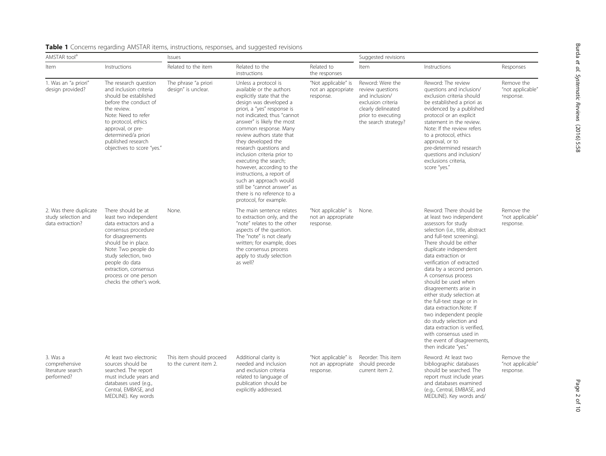<span id="page-1-0"></span>

| AMSTAR tool <sup>a</sup>                                          |                                                                                                                                                                                                                                                                                        | Issues                                             |                                                                                                                                                                                                                                                                                                                                                                                                                                                                                                                                              |                                                        | Suggested revisions                                                                                                                              |                                                                                                                                                                                                                                                                                                                                                                                                                                                                                                                                                                                                                  |                                             |
|-------------------------------------------------------------------|----------------------------------------------------------------------------------------------------------------------------------------------------------------------------------------------------------------------------------------------------------------------------------------|----------------------------------------------------|----------------------------------------------------------------------------------------------------------------------------------------------------------------------------------------------------------------------------------------------------------------------------------------------------------------------------------------------------------------------------------------------------------------------------------------------------------------------------------------------------------------------------------------------|--------------------------------------------------------|--------------------------------------------------------------------------------------------------------------------------------------------------|------------------------------------------------------------------------------------------------------------------------------------------------------------------------------------------------------------------------------------------------------------------------------------------------------------------------------------------------------------------------------------------------------------------------------------------------------------------------------------------------------------------------------------------------------------------------------------------------------------------|---------------------------------------------|
| Item                                                              | Instructions                                                                                                                                                                                                                                                                           | Related to the item                                | Related to the<br>instructions                                                                                                                                                                                                                                                                                                                                                                                                                                                                                                               | Related to<br>the responses                            | Item                                                                                                                                             | Instructions                                                                                                                                                                                                                                                                                                                                                                                                                                                                                                                                                                                                     | Responses                                   |
| 1. Was an "a priori"<br>design provided?                          | The research question<br>and inclusion criteria<br>should be established<br>before the conduct of<br>the review.<br>Note: Need to refer<br>to protocol, ethics<br>approval, or pre-<br>determined/a priori<br>published research<br>objectives to score "yes."                         | The phrase "a priori<br>design" is unclear.        | Unless a protocol is<br>available or the authors<br>explicitly state that the<br>design was developed a<br>priori, a "yes" response is<br>not indicated; thus "cannot<br>answer" is likely the most<br>common response. Many<br>review authors state that<br>they developed the<br>research questions and<br>inclusion criteria prior to<br>executing the search;<br>however, according to the<br>instructions, a report of<br>such an approach would<br>still be "cannot answer" as<br>there is no reference to a<br>protocol, for example. | "Not applicable" is<br>not an appropriate<br>response. | Reword: Were the<br>review questions<br>and inclusion/<br>exclusion criteria<br>clearly delineated<br>prior to executing<br>the search strategy? | Reword: The review<br>questions and inclusion/<br>exclusion criteria should<br>be established a priori as<br>evidenced by a published<br>protocol or an explicit<br>statement in the review.<br>Note: If the review refers<br>to a protocol, ethics<br>approval, or to<br>pre-determined research<br>questions and inclusion/<br>exclusions criteria,<br>score "yes."                                                                                                                                                                                                                                            | Remove the<br>"not applicable"<br>response. |
| 2. Was there duplicate<br>study selection and<br>data extraction? | There should be at<br>least two independent<br>data extractors and a<br>consensus procedure<br>for disagreements<br>should be in place.<br>Note: Two people do<br>study selection, two<br>people do data<br>extraction, consensus<br>process or one person<br>checks the other's work. | None.                                              | The main sentence relates<br>to extraction only, and the<br>"note" relates to the other<br>aspects of the question.<br>The "note" is not clearly<br>written; for example, does<br>the consensus process<br>apply to study selection<br>as well?                                                                                                                                                                                                                                                                                              | "Not applicable" is<br>not an appropriate<br>response. | None.                                                                                                                                            | Reword: There should be<br>at least two independent<br>assessors for study<br>selection (i.e., title, abstract<br>and full-text screening).<br>There should be either<br>duplicate independent<br>data extraction or<br>verification of extracted<br>data by a second person.<br>A consensus process<br>should be used when<br>disagreements arise in<br>either study selection at<br>the full-text stage or in<br>data extraction.Note: If<br>two independent people<br>do study selection and<br>data extraction is verified,<br>with consensus used in<br>the event of disagreements,<br>then indicate "yes." | Remove the<br>"not applicable"<br>response. |
| 3. Was a<br>comprehensive<br>literature search<br>performed?      | At least two electronic<br>sources should be<br>searched. The report<br>must include years and<br>databases used (e.g.,<br>Central, EMBASE, and<br>MEDLINE). Key words                                                                                                                 | This item should proceed<br>to the current item 2. | Additional clarity is<br>needed and inclusion<br>and exclusion criteria<br>related to language of<br>publication should be<br>explicitly addressed.                                                                                                                                                                                                                                                                                                                                                                                          | "Not applicable" is<br>not an appropriate<br>response. | Reorder: This item<br>should precede<br>current item 2.                                                                                          | Reword: At least two<br>bibliographic databases<br>should be searched. The<br>report must include years<br>and databases examined<br>(e.g., Central, EMBASE, and<br>MEDLINE). Key words and/                                                                                                                                                                                                                                                                                                                                                                                                                     | Remove the<br>"not applicable"<br>response. |

# Page 2 of 10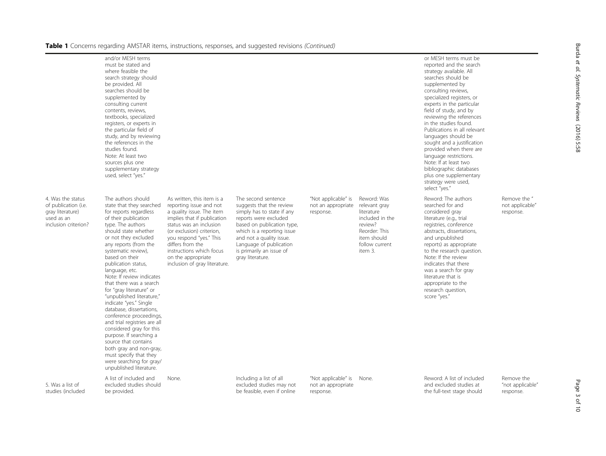|                                                                                                     | and/or MESH terms<br>must be stated and<br>where feasible the<br>search strategy should<br>be provided. All<br>searches should be<br>supplemented by<br>consulting current<br>contents, reviews,<br>textbooks, specialized<br>registers, or experts in<br>the particular field of<br>study, and by reviewing<br>the references in the<br>studies found.<br>Note: At least two<br>sources plus one<br>supplementary strategy<br>used, select "yes."                                                                                                                                                                                                                                                            |                                                                                                                                                                                                                                                                                                             |                                                                                                                                                                                                                                                                           |                                                        |                                                                                                                                       | or MESH terms must be<br>reported and the search<br>strategy available. All<br>searches should be<br>supplemented by<br>consulting reviews,<br>specialized registers, or<br>experts in the particular<br>field of study, and by<br>reviewing the references<br>in the studies found.<br>Publications in all relevant<br>languages should be<br>sought and a justification<br>provided when there are<br>language restrictions.<br>Note: If at least two<br>bibliographic databases<br>plus one supplementary<br>strategy were used,<br>select "yes." |                                              |
|-----------------------------------------------------------------------------------------------------|---------------------------------------------------------------------------------------------------------------------------------------------------------------------------------------------------------------------------------------------------------------------------------------------------------------------------------------------------------------------------------------------------------------------------------------------------------------------------------------------------------------------------------------------------------------------------------------------------------------------------------------------------------------------------------------------------------------|-------------------------------------------------------------------------------------------------------------------------------------------------------------------------------------------------------------------------------------------------------------------------------------------------------------|---------------------------------------------------------------------------------------------------------------------------------------------------------------------------------------------------------------------------------------------------------------------------|--------------------------------------------------------|---------------------------------------------------------------------------------------------------------------------------------------|------------------------------------------------------------------------------------------------------------------------------------------------------------------------------------------------------------------------------------------------------------------------------------------------------------------------------------------------------------------------------------------------------------------------------------------------------------------------------------------------------------------------------------------------------|----------------------------------------------|
| 4. Was the status<br>of publication (i.e.<br>gray literature)<br>used as an<br>inclusion criterion? | The authors should<br>state that they searched<br>for reports regardless<br>of their publication<br>type. The authors<br>should state whether<br>or not they excluded<br>any reports (from the<br>systematic review),<br>based on their<br>publication status,<br>language, etc.<br>Note: If review indicates<br>that there was a search<br>for "gray literature" or<br>"unpublished literature,"<br>indicate "yes." Single<br>database, dissertations,<br>conference proceedings,<br>and trial registries are all<br>considered gray for this<br>purpose. If searching a<br>source that contains<br>both gray and non-gray,<br>must specify that they<br>were searching for gray/<br>unpublished literature. | As written, this item is a<br>reporting issue and not<br>a quality issue. The item<br>implies that if publication<br>status was an inclusion<br>(or exclusion) criterion,<br>you respond "yes." This<br>differs from the<br>instructions which focus<br>on the appropriate<br>inclusion of gray literature. | The second sentence<br>suggests that the review<br>simply has to state if any<br>reports were excluded<br>based on publication type,<br>which is a reporting issue<br>and not a quality issue.<br>Language of publication<br>is primarily an issue of<br>gray literature. | "Not applicable" is<br>not an appropriate<br>response. | Reword: Was<br>relevant gray<br>literature<br>included in the<br>review?<br>Reorder: This<br>item should<br>follow current<br>item 3. | Reword: The authors<br>searched for and<br>considered gray<br>literature (e.g., trial<br>registries, conference<br>abstracts, dissertations,<br>and unpublished<br>reports) as appropriate<br>to the research question.<br>Note: If the review<br>indicates that there<br>was a search for gray<br>literature that is<br>appropriate to the<br>research question,<br>score "yes."                                                                                                                                                                    | Remove the "<br>not applicable"<br>response. |
| 5. Was a list of<br>studies (included                                                               | A list of included and<br>excluded studies should<br>be provided.                                                                                                                                                                                                                                                                                                                                                                                                                                                                                                                                                                                                                                             | None.                                                                                                                                                                                                                                                                                                       | Including a list of all<br>excluded studies may not<br>be feasible, even if online                                                                                                                                                                                        | "Not applicable" is<br>not an appropriate<br>response. | None.                                                                                                                                 | Reword: A list of included<br>and excluded studies at<br>the full-text stage should                                                                                                                                                                                                                                                                                                                                                                                                                                                                  | Remove the<br>"not applicable"<br>response.  |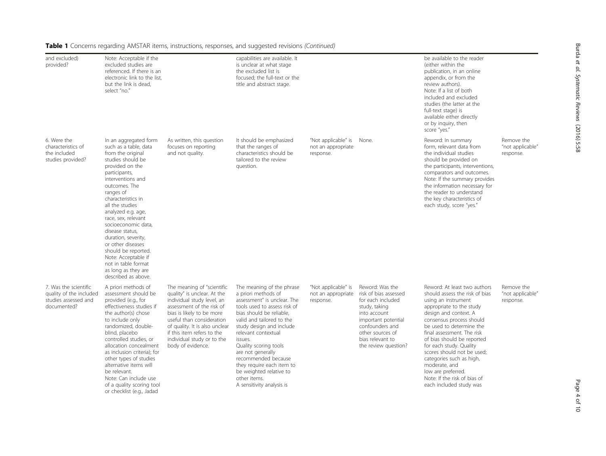| and excluded)<br>provided?                                                              | Note: Acceptable if the<br>excluded studies are<br>referenced. If there is an<br>electronic link to the list.<br>but the link is dead<br>select "no."                                                                                                                                                                                                                                                                                                                          |                                                                                                                                                                                                                                                                                                   | capabilities are available. It<br>is unclear at what stage<br>the excluded list is<br>focused; the full-text or the<br>title and abstract stage.                                                                                                                                                                                                                                                                 |                                                        |                                                                                                                                                                                                          | be available to the reader<br>(either within the<br>publication, in an online<br>appendix, or from the<br>review authors).<br>Note: If a list of both<br>included and excluded<br>studies (the latter at the<br>full-text stage) is<br>available either directly<br>or by inquiry, then<br>score "yes."                                                                                                                                               |                                             |
|-----------------------------------------------------------------------------------------|--------------------------------------------------------------------------------------------------------------------------------------------------------------------------------------------------------------------------------------------------------------------------------------------------------------------------------------------------------------------------------------------------------------------------------------------------------------------------------|---------------------------------------------------------------------------------------------------------------------------------------------------------------------------------------------------------------------------------------------------------------------------------------------------|------------------------------------------------------------------------------------------------------------------------------------------------------------------------------------------------------------------------------------------------------------------------------------------------------------------------------------------------------------------------------------------------------------------|--------------------------------------------------------|----------------------------------------------------------------------------------------------------------------------------------------------------------------------------------------------------------|-------------------------------------------------------------------------------------------------------------------------------------------------------------------------------------------------------------------------------------------------------------------------------------------------------------------------------------------------------------------------------------------------------------------------------------------------------|---------------------------------------------|
| 6. Were the<br>characteristics of<br>the included<br>studies provided?                  | In an aggregated form<br>such as a table, data<br>from the original<br>studies should be<br>provided on the<br>participants,<br>interventions and<br>outcomes. The<br>ranges of<br>characteristics in<br>all the studies<br>analyzed e.g. age,<br>race, sex, relevant<br>socioeconomic data,<br>disease status,<br>duration, severity,<br>or other diseases<br>should be reported.<br>Note: Acceptable if<br>not in table format<br>as long as they are<br>described as above. | As written, this question<br>focuses on reporting<br>and not quality.                                                                                                                                                                                                                             | It should be emphasized<br>that the ranges of<br>characteristics should be<br>tailored to the review<br>question.                                                                                                                                                                                                                                                                                                | "Not applicable" is<br>not an appropriate<br>response. | None.                                                                                                                                                                                                    | Reword: In summary<br>form, relevant data from<br>the individual studies<br>should be provided on<br>the participants, interventions,<br>comparators and outcomes.<br>Note: If the summary provides<br>the information necessary for<br>the reader to understand<br>the key characteristics of<br>each study, score "yes."                                                                                                                            | Remove the<br>"not applicable"<br>response. |
| 7. Was the scientific<br>quality of the included<br>studies assessed and<br>documented? | A priori methods of<br>assessment should be<br>provided (e.g., for<br>effectiveness studies if<br>the author(s) chose<br>to include only<br>randomized, double-<br>blind, placebo<br>controlled studies, or<br>allocation concealment<br>as inclusion criteria); for<br>other types of studies<br>alternative items will<br>be relevant.<br>Note: Can include use<br>of a quality scoring tool<br>or checklist (e.g., Jadad                                                    | The meaning of "scientific<br>quality" is unclear. At the<br>individual study level, an<br>assessment of the risk of<br>bias is likely to be more<br>useful than consideration<br>of quality. It is also unclear<br>if this item refers to the<br>individual study or to the<br>body of evidence. | The meaning of the phrase<br>a priori methods of<br>assessment" is unclear. The<br>tools used to assess risk of<br>bias should be reliable.<br>valid and tailored to the<br>study design and include<br>relevant contextual<br>issues.<br>Quality scoring tools<br>are not generally<br>recommended because<br>they require each item to<br>be weighted relative to<br>other items.<br>A sensitivity analysis is | "Not applicable" is<br>not an appropriate<br>response. | Reword: Was the<br>risk of bias assessed<br>for each included<br>study, taking<br>into account<br>important potential<br>confounders and<br>other sources of<br>bias relevant to<br>the review question? | Reword: At least two authors<br>should assess the risk of bias<br>using an instrument<br>appropriate to the study<br>design and context. A<br>consensus process should<br>be used to determine the<br>final assessment. The risk<br>of bias should be reported<br>for each study. Quality<br>scores should not be used;<br>categories such as high,<br>moderate, and<br>low are preferred.<br>Note: If the risk of bias of<br>each included study was | Remove the<br>"not applicable"<br>response. |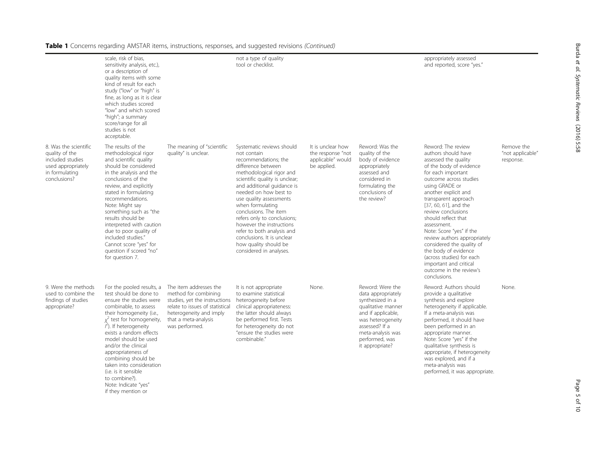|                                                                                                                     | scale, risk of bias,<br>sensitivity analysis, etc.),<br>or a description of                                                                                                                                                                                                                                                                                                                                                                |                                                                                                                                                                                         | not a type of quality<br>tool or checklist.                                                                                                                                                                                                                                                                                                                                                                                                                    |                                                                            |                                                                                                                                                                                                         | appropriately assessed<br>and reported, score "yes."                                                                                                                                                                                                                                                                                                                                                                                                                                                                   |                                             |
|---------------------------------------------------------------------------------------------------------------------|--------------------------------------------------------------------------------------------------------------------------------------------------------------------------------------------------------------------------------------------------------------------------------------------------------------------------------------------------------------------------------------------------------------------------------------------|-----------------------------------------------------------------------------------------------------------------------------------------------------------------------------------------|----------------------------------------------------------------------------------------------------------------------------------------------------------------------------------------------------------------------------------------------------------------------------------------------------------------------------------------------------------------------------------------------------------------------------------------------------------------|----------------------------------------------------------------------------|---------------------------------------------------------------------------------------------------------------------------------------------------------------------------------------------------------|------------------------------------------------------------------------------------------------------------------------------------------------------------------------------------------------------------------------------------------------------------------------------------------------------------------------------------------------------------------------------------------------------------------------------------------------------------------------------------------------------------------------|---------------------------------------------|
|                                                                                                                     | quality items with some<br>kind of result for each<br>study ("low" or "high" is<br>fine, as long as it is clear<br>which studies scored<br>"low" and which scored<br>"high"; a summary<br>score/range for all<br>studies is not<br>acceptable.                                                                                                                                                                                             |                                                                                                                                                                                         |                                                                                                                                                                                                                                                                                                                                                                                                                                                                |                                                                            |                                                                                                                                                                                                         |                                                                                                                                                                                                                                                                                                                                                                                                                                                                                                                        |                                             |
| 8. Was the scientific<br>quality of the<br>included studies<br>used appropriately<br>in formulating<br>conclusions? | The results of the<br>methodological rigor<br>and scientific quality<br>should be considered<br>in the analysis and the<br>conclusions of the<br>review, and explicitly<br>stated in formulating<br>recommendations.<br>Note: Might say<br>something such as "the<br>results should be<br>interpreted with caution<br>due to poor quality of<br>included studies."<br>Cannot score "yes" for<br>question if scored "no"<br>for question 7. | The meaning of "scientific<br>quality" is unclear.                                                                                                                                      | Systematic reviews should<br>not contain<br>recommendations; the<br>difference between<br>methodological rigor and<br>scientific quality is unclear;<br>and additional guidance is<br>needed on how best to<br>use quality assessments<br>when formulating<br>conclusions. The item<br>refers only to conclusions;<br>however the instructions<br>refer to both analysis and<br>conclusions. It is unclear<br>how quality should be<br>considered in analyses. | It is unclear how<br>the response "not<br>applicable" would<br>be applied. | Reword: Was the<br>quality of the<br>body of evidence<br>appropriately<br>assessed and<br>considered in<br>formulating the<br>conclusions of<br>the review?                                             | Reword: The review<br>authors should have<br>assessed the quality<br>of the body of evidence<br>for each important<br>outcome across studies<br>using GRADE or<br>another explicit and<br>transparent approach<br>[37, 60, 61], and the<br>review conclusions<br>should reflect that<br>assessment.<br>Note: Score "yes" if the<br>review authors appropriately<br>considered the quality of<br>the body of evidence<br>(across studies) for each<br>important and critical<br>outcome in the review's<br>conclusions. | Remove the<br>"not applicable"<br>response. |
| 9. Were the methods<br>used to combine the<br>findings of studies<br>appropriate?                                   | For the pooled results, a<br>test should be done to<br>ensure the studies were<br>combinable, to assess<br>their homogeneity (i.e.,<br>$x^2$ test for homogeneity,<br>$\ell^2$ ). If heterogeneity<br>exists a random effects<br>model should be used<br>and/or the clinical<br>appropriateness of<br>combining should be<br>taken into consideration<br>(i.e. is it sensible<br>to combine?).                                             | The item addresses the<br>method for combining<br>studies, yet the instructions<br>relate to issues of statistical<br>heterogeneity and imply<br>that a meta-analysis<br>was performed. | It is not appropriate<br>to examine statistical<br>heterogeneity before<br>clinical appropriateness:<br>the latter should always<br>be performed first. Tests<br>for heterogeneity do not<br>"ensure the studies were<br>combinable."                                                                                                                                                                                                                          | None.                                                                      | Reword: Were the<br>data appropriately<br>synthesized in a<br>qualitative manner<br>and if applicable,<br>was heterogeneity<br>assessed? If a<br>meta-analysis was<br>performed, was<br>it appropriate? | Reword: Authors should<br>provide a qualitative<br>synthesis and explore<br>heterogeneity if applicable.<br>If a meta-analysis was<br>performed, it should have<br>been performed in an<br>appropriate manner.<br>Note: Score "yes" if the<br>qualitative synthesis is<br>appropriate, if heterogeneity<br>was explored, and if a<br>meta-analysis was<br>performed, it was appropriate.                                                                                                                               | None.                                       |

Note: Indicate "yes" if they mention or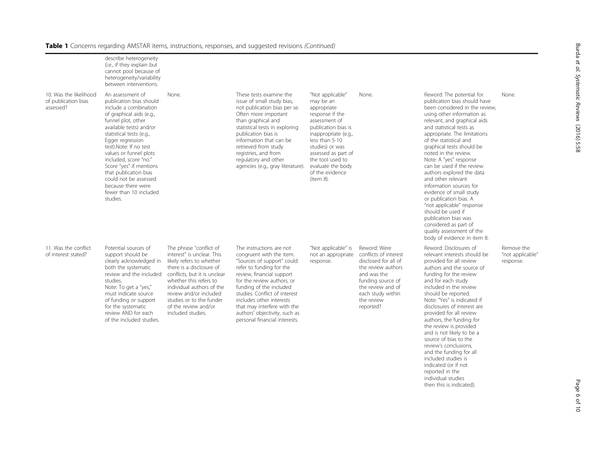|                                                            | describe heterogeneity<br>(i.e., if they explain but<br>cannot pool because of<br>heterogeneity/variability<br>between interventions.                                                                                                                                                                                                                                                                                   |                                                                                                                                                                                                                                                                                                         |                                                                                                                                                                                                                                                                                                                                                                    |                                                                                                                                                                                                                                                                      |                                                                                                                                                                                              |                                                                                                                                                                                                                                                                                                                                                                                                                                                                                                                                                                                                                                                               |                                             |
|------------------------------------------------------------|-------------------------------------------------------------------------------------------------------------------------------------------------------------------------------------------------------------------------------------------------------------------------------------------------------------------------------------------------------------------------------------------------------------------------|---------------------------------------------------------------------------------------------------------------------------------------------------------------------------------------------------------------------------------------------------------------------------------------------------------|--------------------------------------------------------------------------------------------------------------------------------------------------------------------------------------------------------------------------------------------------------------------------------------------------------------------------------------------------------------------|----------------------------------------------------------------------------------------------------------------------------------------------------------------------------------------------------------------------------------------------------------------------|----------------------------------------------------------------------------------------------------------------------------------------------------------------------------------------------|---------------------------------------------------------------------------------------------------------------------------------------------------------------------------------------------------------------------------------------------------------------------------------------------------------------------------------------------------------------------------------------------------------------------------------------------------------------------------------------------------------------------------------------------------------------------------------------------------------------------------------------------------------------|---------------------------------------------|
| 10. Was the likelihood<br>of publication bias<br>assessed? | An assessment of<br>publication bias should<br>include a combination<br>of graphical aids (e.g.,<br>funnel plot, other<br>available tests) and/or<br>statistical tests (e.g.,<br>Egger regression<br>test).Note: If no test<br>values or funnel plots<br>included, score "no."<br>Score "yes" if mentions<br>that publication bias<br>could not be assessed<br>because there were<br>fewer than 10 included<br>studies. | None.                                                                                                                                                                                                                                                                                                   | These tests examine the<br>issue of small study bias,<br>not publication bias per se.<br>Often more important<br>than graphical and<br>statistical tests in exploring<br>publication bias is<br>information that can be<br>retrieved from study<br>registries, and from<br>regulatory and other<br>agencies (e.g., gray literature).                               | "Not applicable"<br>may be an<br>appropriate<br>response if the<br>assessment of<br>publication bias is<br>inappropriate (e.g.,<br>less than 5-10<br>studies) or was<br>assessed as part of<br>the tool used to<br>evaluate the body<br>of the evidence<br>(item 8). | None.                                                                                                                                                                                        | Reword: The potential for<br>publication bias should have<br>been considered in the review.<br>using other information as<br>relevant, and graphical aids<br>and statistical tests as<br>appropriate. The limitations<br>of the statistical and<br>graphical tests should be<br>noted in the review.<br>Note: A "yes" response<br>can be used if the review<br>authors explored the data<br>and other relevant<br>information sources for<br>evidence of small study<br>or publication bias. A<br>"not applicable" response<br>should be used if<br>publication bias was<br>considered as part of<br>quality assessment of the<br>body of evidence in item 8. | None.                                       |
| 11. Was the conflict<br>of interest stated?                | Potential sources of<br>support should be<br>clearly acknowledged in<br>both the systematic<br>review and the included<br>studies.<br>Note: To get a "yes,"<br>must indicate source<br>of funding or support<br>for the systematic<br>review AND for each<br>of the included studies.                                                                                                                                   | The phrase "conflict of<br>interest" is unclear. This<br>likely refers to whether<br>there is a disclosure of<br>conflicts, but it is unclear<br>whether this refers to<br>individual authors of the<br>review and/or included<br>studies or to the funder<br>of the review and/or<br>included studies. | The instructions are not<br>congruent with the item.<br>"Sources of support" could<br>refer to funding for the<br>review, financial support<br>for the review authors, or<br>funding of the included<br>studies. Conflict of interest<br>includes other interests<br>that may interfere with the<br>authors' objectivity, such as<br>personal financial interests. | "Not applicable" is<br>not an appropriate<br>response.                                                                                                                                                                                                               | Reword: Were<br>conflicts of interest<br>disclosed for all of<br>the review authors<br>and was the<br>funding source of<br>the review and of<br>each study within<br>the review<br>reported? | Reword: Disclosures of<br>relevant interests should be<br>provided for all review<br>authors and the source of<br>funding for the review<br>and for each study<br>included in the review<br>should be reported.<br>Note: "Yes" is indicated if<br>disclosures of interest are<br>provided for all review<br>authors, the funding for<br>the review is provided<br>and is not likely to be a<br>source of bias to the<br>review's conclusions,<br>and the funding for all<br>included studies is<br>indicated (or if not                                                                                                                                       | Remove the<br>"not applicable"<br>response. |

Page 6 of 10

reported in the individual studies then this is indicated).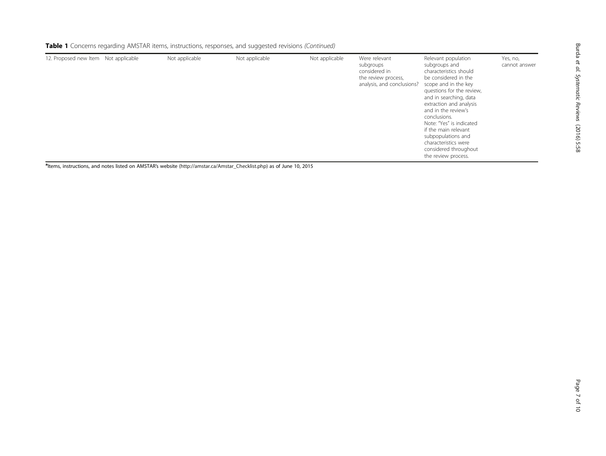| <b>Table 1</b> Concerns regarding AMSTAR items, instructions, responses, and suggested revisions (Continued) |  |  |  |
|--------------------------------------------------------------------------------------------------------------|--|--|--|
|--------------------------------------------------------------------------------------------------------------|--|--|--|

| Not applicable<br>Were relevant<br>Relevant population<br>Yes, no,<br>subgroups and<br>subgroups<br>cannot answer<br>considered in<br>characteristics should<br>be considered in the<br>the review process,<br>scope and in the key<br>analysis, and conclusions?<br>questions for the review,<br>and in searching, data<br>extraction and analysis<br>and in the review's<br>conclusions.<br>Note: "Yes" is indicated<br>if the main relevant<br>subpopulations and<br>characteristics were<br>considered throughout<br>the review process. |
|----------------------------------------------------------------------------------------------------------------------------------------------------------------------------------------------------------------------------------------------------------------------------------------------------------------------------------------------------------------------------------------------------------------------------------------------------------------------------------------------------------------------------------------------|
|                                                                                                                                                                                                                                                                                                                                                                                                                                                                                                                                              |

altems, instructions, and notes listed on AMSTAR's website ([http://amstar.ca/Amstar\\_Checklist.php\)](http://amstar.ca/Amstar_Checklist.php) as of June 10, 2015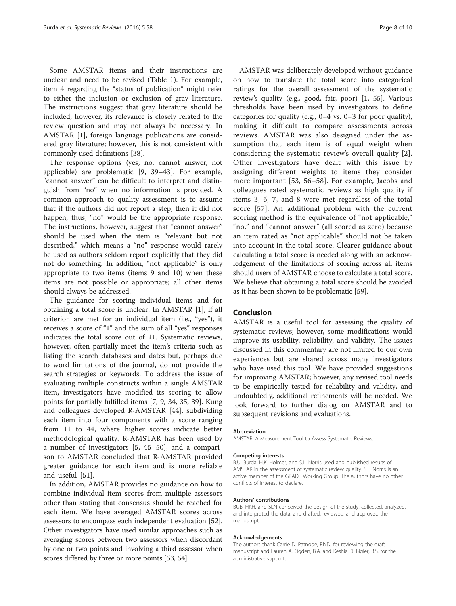Some AMSTAR items and their instructions are unclear and need to be revised (Table [1\)](#page-1-0). For example, item 4 regarding the "status of publication" might refer to either the inclusion or exclusion of gray literature. The instructions suggest that gray literature should be included; however, its relevance is closely related to the review question and may not always be necessary. In AMSTAR [[1\]](#page-8-0), foreign language publications are considered gray literature; however, this is not consistent with commonly used definitions [[38\]](#page-9-0).

The response options (yes, no, cannot answer, not applicable) are problematic [[9,](#page-8-0) [39](#page-9-0)–[43\]](#page-9-0). For example, "cannot answer" can be difficult to interpret and distinguish from "no" when no information is provided. A common approach to quality assessment is to assume that if the authors did not report a step, then it did not happen; thus, "no" would be the appropriate response. The instructions, however, suggest that "cannot answer" should be used when the item is "relevant but not described," which means a "no" response would rarely be used as authors seldom report explicitly that they did not do something. In addition, "not applicable" is only appropriate to two items (items 9 and 10) when these items are not possible or appropriate; all other items should always be addressed.

The guidance for scoring individual items and for obtaining a total score is unclear. In AMSTAR [\[1](#page-8-0)], if all criterion are met for an individual item (i.e., "yes"), it receives a score of "1" and the sum of all "yes" responses indicates the total score out of 11. Systematic reviews, however, often partially meet the item's criteria such as listing the search databases and dates but, perhaps due to word limitations of the journal, do not provide the search strategies or keywords. To address the issue of evaluating multiple constructs within a single AMSTAR item, investigators have modified its scoring to allow points for partially fulfilled items [\[7, 9](#page-8-0), [34, 35,](#page-8-0) [39\]](#page-9-0). Kung and colleagues developed R-AMSTAR [\[44](#page-9-0)], subdividing each item into four components with a score ranging from 11 to 44, where higher scores indicate better methodological quality. R-AMSTAR has been used by a number of investigators [[5,](#page-8-0) [45](#page-9-0)–[50\]](#page-9-0), and a comparison to AMSTAR concluded that R-AMSTAR provided greater guidance for each item and is more reliable and useful [[51\]](#page-9-0).

In addition, AMSTAR provides no guidance on how to combine individual item scores from multiple assessors other than stating that consensus should be reached for each item. We have averaged AMSTAR scores across assessors to encompass each independent evaluation [[52](#page-9-0)]. Other investigators have used similar approaches such as averaging scores between two assessors when discordant by one or two points and involving a third assessor when scores differed by three or more points [[53](#page-9-0), [54\]](#page-9-0).

AMSTAR was deliberately developed without guidance on how to translate the total score into categorical ratings for the overall assessment of the systematic review's quality (e.g., good, fair, poor) [\[1](#page-8-0), [55](#page-9-0)]. Various thresholds have been used by investigators to define categories for quality (e.g., 0–4 vs. 0–3 for poor quality), making it difficult to compare assessments across reviews. AMSTAR was also designed under the assumption that each item is of equal weight when considering the systematic review's overall quality [[2](#page-8-0)]. Other investigators have dealt with this issue by assigning different weights to items they consider more important [\[53, 56](#page-9-0)–[58](#page-9-0)]. For example, Jacobs and colleagues rated systematic reviews as high quality if items 3, 6, 7, and 8 were met regardless of the total score [[57](#page-9-0)]. An additional problem with the current scoring method is the equivalence of "not applicable," "no," and "cannot answer" (all scored as zero) because an item rated as "not applicable" should not be taken into account in the total score. Clearer guidance about calculating a total score is needed along with an acknowledgement of the limitations of scoring across all items should users of AMSTAR choose to calculate a total score. We believe that obtaining a total score should be avoided as it has been shown to be problematic [\[59\]](#page-9-0).

#### Conclusion

AMSTAR is a useful tool for assessing the quality of systematic reviews; however, some modifications would improve its usability, reliability, and validity. The issues discussed in this commentary are not limited to our own experiences but are shared across many investigators who have used this tool. We have provided suggestions for improving AMSTAR; however, any revised tool needs to be empirically tested for reliability and validity, and undoubtedly, additional refinements will be needed. We look forward to further dialog on AMSTAR and to subsequent revisions and evaluations.

#### Abbreviation

AMSTAR: A Measurement Tool to Assess Systematic Reviews.

#### Competing interests

B.U. Burda, H.K. Holmer, and S.L. Norris used and published results of AMSTAR in the assessment of systematic review quality. S.L. Norris is an active member of the GRADE Working Group. The authors have no other conflicts of interest to declare.

#### Authors' contributions

BUB, HKH, and SLN conceived the design of the study, collected, analyzed, and interpreted the data, and drafted, reviewed, and approved the manuscript.

#### Acknowledgements

The authors thank Carrie D. Patnode, Ph.D. for reviewing the draft manuscript and Lauren A. Ogden, B.A. and Keshia D. Bigler, B.S. for the administrative support.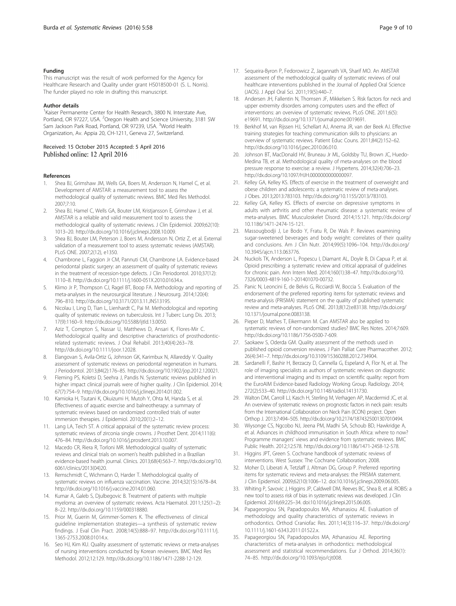#### <span id="page-8-0"></span>Funding

This manuscript was the result of work performed for the Agency for Healthcare Research and Quality under grant HS018500-01 (S. L. Norris). The funder played no role in drafting this manuscript.

#### Author details

<sup>1</sup> Kaiser Permanente Center for Health Research, 3800 N. Interstate Ave, Portland, OR 97227, USA. <sup>2</sup>Oregon Health and Science University, 3181 SW Sam Jackson Park Road, Portland, OR 97239, USA. <sup>3</sup>World Health Organization, Av. Appia 20, CH-1211, Geneva 27, Switzerland.

#### Received: 15 October 2015 Accepted: 5 April 2016 Published online: 12 April 2016

#### References

- 1. Shea BJ, Grimshaw JM, Wells GA, Boers M, Andersson N, Hamel C, et al. Development of AMSTAR: a measurement tool to assess the methodological quality of systematic reviews. BMC Med Res Methodol. 2007;7:10.
- 2. Shea BJ, Hamel C, Wells GA, Bouter LM, Kristjansson E, Grimshaw J, et al. AMSTAR is a reliable and valid measurement tool to assess the methodological quality of systematic reviews. J Clin Epidemiol. 2009;62(10): 1013–20. [http://dx.doi.org/10.1016/j.jclinepi.2008.10.009.](http://dx.doi.org/10.1016/j.jclinepi.2008.10.009)
- 3. Shea BJ, Bouter LM, Peterson J, Boers M, Andersson N, Ortiz Z, et al. External validation of a measurement tool to assess systematic reviews (AMSTAR). PLoS ONE. 2007;2(12), e1350.
- 4. Chambrone L, Faggion Jr CM, Pannuti CM, Chambrone LA. Evidence-based periodontal plastic surgery: an assessment of quality of systematic reviews in the treatment of recession-type defects. J Clin Periodontol. 2010;37(12): 1110–8.<http://dx.doi.org/10.1111/j.1600-051X.2010.01634.x>.
- Klimo Jr P, Thompson CJ, Ragel BT, Boop FA. Methodology and reporting of meta-analyses in the neurosurgical literature. J Neurosurg. 2014;120(4): 796–810. [http://dx.doi.org/10.3171/2013.11.JNS13195.](http://dx.doi.org/10.3171/2013.11.JNS13195)
- 6. Nicolau I, Ling D, Tian L, Lienhardt C, Pai M. Methodological and reporting quality of systematic reviews on tuberculosis. Int J Tuberc Lung Dis. 2013; 17(9):1160–9. [http://dx.doi.org/10.5588/ijtld.13.0050.](http://dx.doi.org/10.5588/ijtld.13.0050)
- Aziz T, Compton S, Nassar U, Matthews D, Ansari K, Flores-Mir C. Methodological quality and descriptive characteristics of prosthodonticrelated systematic reviews. J Oral Rehabil. 2013;40(4):263–78. [http://dx.doi.org/10.1111/joor.12028.](http://dx.doi.org/10.1111/joor.12028)
- 8. Elangovan S, Avila-Ortiz G, Johnson GK, Karimbux N, Allareddy V. Quality assessment of systematic reviews on periodontal regeneration in humans. J Periodontol. 2013;84(2):176–85. [http://dx.doi.org/10.1902/jop.2012.120021.](http://dx.doi.org/10.1902/jop.2012.120021)
- 9. Fleming PS, Koletsi D, Seehra J, Pandis N. Systematic reviews published in higher impact clinical journals were of higher quality. J Clin Epidemiol. 2014; 67(7):754–9.<http://dx.doi.org/10.1016/j.jclinepi.2014.01.002>.
- 10. Kamioka H, Tsutani K, Okuizumi H, Mutoh Y, Ohta M, Handa S, et al. Effectiveness of aquatic exercise and balneotherapy: a summary of systematic reviews based on randomized controlled trials of water immersion therapies. J Epidemiol. 2010;20(1):2–12.
- 11. Lang LA, Teich ST. A critical appraisal of the systematic review process: systematic reviews of zirconia single crowns. J Prosthet Dent. 2014;111(6): 476–84. [http://dx.doi.org/10.1016/j.prosdent.2013.10.007.](http://dx.doi.org/10.1016/j.prosdent.2013.10.007)
- 12. Macedo CR, Riera R, Torloni MR. Methodological quality of systematic reviews and clinical trials on women's health published in a Brazilian evidence-based health journal. Clinics. 2013;68(4):563–7. [http://dx.doi.org/10.](http://dx.doi.org/10.6061/clinics/2013(04)20) [6061/clinics/2013\(04\)20](http://dx.doi.org/10.6061/clinics/2013(04)20).
- 13. Remschmidt C, Wichmann O, Harder T. Methodological quality of systematic reviews on influenza vaccination. Vaccine. 2014;32(15):1678–84. [http://dx.doi.org/10.1016/j.vaccine.2014.01.060.](http://dx.doi.org/10.1016/j.vaccine.2014.01.060)
- 14. Kumar A, Galeb S, Djulbegovic B. Treatment of patients with multiple myeloma: an overview of systematic reviews. Acta Haematol. 2011;125(1–2): 8–22.<http://dx.doi.org/10.1159/000318880>.
- 15. Prior M, Guerin M, Grimmer-Somers K. The effectiveness of clinical guideline implementation strategies—a synthesis of systematic review findings. J Eval Clin Pract. 2008;14(5):888–97. [http://dx.doi.org/10.1111/j.](http://dx.doi.org/10.1111/j.1365-2753.2008.01014.x) [1365-2753.2008.01014.x](http://dx.doi.org/10.1111/j.1365-2753.2008.01014.x).
- 16. Seo HJ, Kim KU. Quality assessment of systematic reviews or meta-analyses of nursing interventions conducted by Korean reviewers. BMC Med Res Methodol. 2012;12:129.<http://dx.doi.org/10.1186/1471-2288-12-129>.
- 17. Sequeira-Byron P, Fedorowicz Z, Jagannath VA, Sharif MO. An AMSTAR assessment of the methodological quality of systematic reviews of oral healthcare interventions published in the Journal of Applied Oral Science (JAOS). J Appl Oral Sci. 2011;19(5):440–7.
- 18. Andersen JH, Fallentin N, Thomsen JF, Mikkelsen S. Risk factors for neck and upper extremity disorders among computers users and the effect of interventions: an overview of systematic reviews. PLoS ONE. 2011;6(5): e19691. [http://dx.doi.org/10.1371/journal.pone.0019691.](http://dx.doi.org/10.1371/journal.pone.0019691)
- 19. Berkhof M, van Rijssen HJ, Schellart AJ, Anema JR, van der Beek AJ. Effective training strategies for teaching communication skills to physicians: an overview of systematic reviews. Patient Educ Couns. 2011;84(2):152–62. [http://dx.doi.org/10.1016/j.pec.2010.06.010.](http://dx.doi.org/10.1016/j.pec.2010.06.010)
- 20. Johnson BT, MacDonald HV, Bruneau Jr ML, Goldsby TU, Brown JC, Huedo-Medina TB, et al. Methodological quality of meta-analyses on the blood pressure response to exercise: a review. J Hypertens. 2014;32(4):706–23. [http://dx.doi.org/10.1097/HJH.0000000000000097.](http://dx.doi.org/10.1097/HJH.0000000000000097)
- 21. Kelley GA, Kelley KS. Effects of exercise in the treatment of overweight and obese children and adolescents: a systematic review of meta-analyses. J Obes. 2013;2013:783103. [http://dx.doi.org/10.1155/2013/783103.](http://dx.doi.org/10.1155/2013/783103)
- 22. Kelley GA, Kelley KS. Effects of exercise on depressive symptoms in adults with arthritis and other rheumatic disease: a systematic review of meta-analyses. BMC Musculoskelet Disord. 2014;15:121. [http://dx.doi.org/](http://dx.doi.org/10.1186/1471-2474-15-121) [10.1186/1471-2474-15-121.](http://dx.doi.org/10.1186/1471-2474-15-121)
- 23. Massougbodji J, Le Bodo Y, Fratu R, De Wals P. Reviews examining sugar-sweetened beverages and body weight: correlates of their quality and conclusions. Am J Clin Nutr. 2014;99(5):1096–104. [http://dx.doi.org/](http://dx.doi.org/10.3945/ajcn.113.063776) [10.3945/ajcn.113.063776.](http://dx.doi.org/10.3945/ajcn.113.063776)
- 24. Nuckols TK, Anderson L, Popescu I, Diamant AL, Doyle B, Di Capua P, et al. Opioid prescribing: a systematic review and critical appraisal of guidelines for chronic pain. Ann Intern Med. 2014;160(1):38–47. [http://dx.doi.org/10.](http://dx.doi.org/10.7326/0003-4819-160-1-201401070-00732) [7326/0003-4819-160-1-201401070-00732.](http://dx.doi.org/10.7326/0003-4819-160-1-201401070-00732)
- 25. Panic N, Leoncini E, de Belvis G, Ricciardi W, Boccia S. Evaluation of the endorsement of the preferred reporting items for systematic reviews and meta-analysis (PRISMA) statement on the quality of published systematic review and meta-analyses. PLoS ONE. 2013;8(12):e83138. [http://dx.doi.org/](http://dx.doi.org/10.1371/journal.pone.0083138) [10.1371/journal.pone.0083138](http://dx.doi.org/10.1371/journal.pone.0083138).
- 26. Pieper D, Mathes T, Eikermann M. Can AMSTAR also be applied to systematic reviews of non-randomized studies? BMC Res Notes. 2014;7:609. [http://dx.doi.org/10.1186/1756-0500-7-609.](http://dx.doi.org/10.1186/1756-0500-7-609)
- 27. Saokaew S, Oderda GM. Quality assessment of the methods used in published opioid conversion reviews. J Pain Palliat Care Pharmacother. 2012; 26(4):341–7. [http://dx.doi.org/10.3109/15360288.2012.734904.](http://dx.doi.org/10.3109/15360288.2012.734904)
- Sardanelli F, Bashir H, Berzaczy D, Cannella G, Espeland A, Flor N, et al. The role of imaging specialists as authors of systematic reviews on diagnostic and interventional imaging and its impact on scientific quality: report from the EuroAIM Evidence-based Radiology Working Group. Radiology. 2014; 272(2):533–40.<http://dx.doi.org/10.1148/radiol.14131730>.
- 29. Walton DM, Carroll LJ, Kasch H, Sterling M, Verhagen AP, Macdermid JC, et al. An overview of systematic reviews on prognostic factors in neck pain: results from the International Collaboration on Neck Pain (ICON) project. Open Orthop J. 2013;7:494–505. [http://dx.doi.org/10.2174/1874325001307010494.](http://dx.doi.org/10.2174/1874325001307010494)
- 30. Wiysonge CS, Ngcobo NJ, Jeena PM, Madhi SA, Schoub BD, Hawkridge A, et al. Advances in childhood immunisation in South Africa: where to now? Programme managers' views and evidence from systematic reviews. BMC Public Health. 2012;12:578. [http://dx.doi.org/10.1186/1471-2458-12-578.](http://dx.doi.org/10.1186/1471-2458-12-578)
- 31. Higgins JPT, Green S. Cochrane handbook of systematic reviews of interventions. West Sussex: The Cochrane Collaboration; 2008.
- 32. Moher D, Liberati A, Tetzlaff J, Altman DG, Group P. Preferred reporting items for systematic reviews and meta-analyses: the PRISMA statement. J Clin Epidemiol. 2009;62(10):1006–12. doi:[10.1016/j.jclinepi.2009.06.005](http://dx.doi.org/10.1016/j.jclinepi.2009.06.005).
- 33. Whiting P, Savovic J, Higgins JP, Caldwell DM, Reeves BC, Shea B, et al. ROBIS: a new tool to assess risk of bias in systematic reviews was developed. J Clin Epidemiol. 2016;69:225–34. doi:[10.1016/j.jclinepi.2015.06.005](http://dx.doi.org/10.1016/j.jclinepi.2015.06.005).
- 34. Papageorgiou SN, Papadopoulos MA, Athanasiou AE. Evaluation of methodology and quality characteristics of systematic reviews in orthodontics. Orthod Craniofac Res. 2011;14(3):116–37. [http://dx.doi.org/](http://dx.doi.org/10.1111/j.1601-6343.2011.01522.x) [10.1111/j.1601-6343.2011.01522.x](http://dx.doi.org/10.1111/j.1601-6343.2011.01522.x).
- 35. Papageorgiou SN, Papadopoulos MA, Athanasiou AE. Reporting characteristics of meta-analyses in orthodontics: methodological assessment and statistical recommendations. Eur J Orthod. 2014;36(1): 74–85. [http://dx.doi.org/10.1093/ejo/cjt008.](http://dx.doi.org/10.1093/ejo/cjt008)